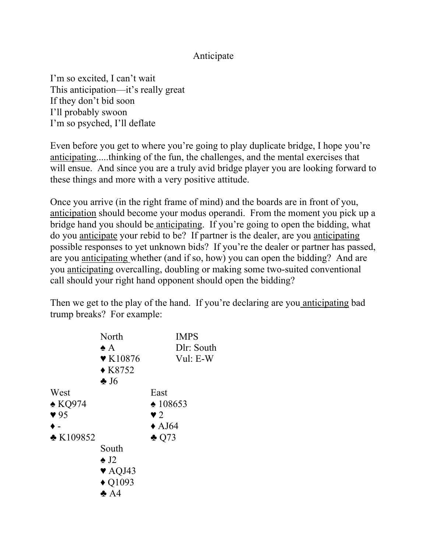## Anticipate

I'm so excited, I can't wait This anticipation—it's really great If they don't bid soon I'll probably swoon I'm so psyched, I'll deflate

Even before you get to where you're going to play duplicate bridge, I hope you're anticipating.....thinking of the fun, the challenges, and the mental exercises that will ensue. And since you are a truly avid bridge player you are looking forward to these things and more with a very positive attitude.

Once you arrive (in the right frame of mind) and the boards are in front of you, anticipation should become your modus operandi. From the moment you pick up a bridge hand you should be anticipating. If you're going to open the bidding, what do you anticipate your rebid to be? If partner is the dealer, are you anticipating possible responses to yet unknown bids? If you're the dealer or partner has passed, are you anticipating whether (and if so, how) you can open the bidding? And are you anticipating overcalling, doubling or making some two-suited conventional call should your right hand opponent should open the bidding?

Then we get to the play of the hand. If you're declaring are you anticipating bad trump breaks? For example:

|                         | North<br>$\clubsuit$ A                           | <b>IMPS</b><br>Dlr: South |
|-------------------------|--------------------------------------------------|---------------------------|
|                         | $\blacktriangledown$ K10876<br>$\triangle$ K8752 | Vul: E-W                  |
|                         | $\clubsuit$ J6                                   |                           |
| West                    |                                                  | East                      |
| $\triangle$ KQ974       |                                                  | $\triangle$ 108653        |
| $\blacktriangledown$ 95 |                                                  | $\blacktriangledown$ 2    |
|                         |                                                  | $\triangle$ AJ64          |
| $\triangle$ K109852     |                                                  | $\triangle$ Q73           |
|                         | South                                            |                           |
|                         | $\triangle$ J2                                   |                           |
|                         | $\blacktriangledown$ AQJ43                       |                           |
|                         | $\blacklozenge$ Q1093                            |                           |
|                         | $\clubsuit$ A4                                   |                           |
|                         |                                                  |                           |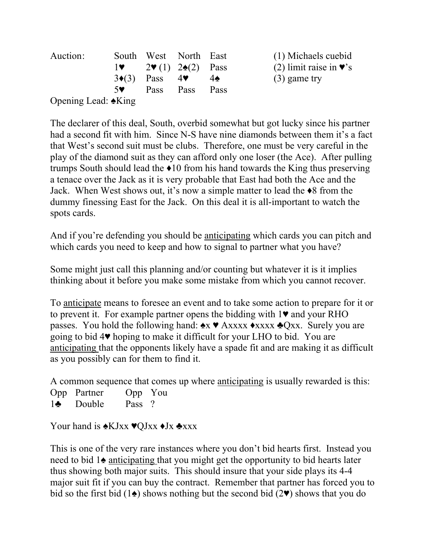| Auction:            |              | South West North East                          |      |             | (1) Michaels cuebid                        |
|---------------------|--------------|------------------------------------------------|------|-------------|--------------------------------------------|
|                     | $\mathbf{I}$ | $2\Psi(1)$ $2\spadesuit(2)$ Pass               |      |             | (2) limit raise in $\blacktriangledown$ 's |
|                     |              | $3\blacklozenge(3)$ Pass $4\blacktriangledown$ |      | $-4\bullet$ | $(3)$ game try                             |
|                     | 5♥ 1         | <b>Pass</b>                                    | Pass | Pass        |                                            |
| Opening Lead: ◆King |              |                                                |      |             |                                            |

The declarer of this deal, South, overbid somewhat but got lucky since his partner had a second fit with him. Since N-S have nine diamonds between them it's a fact that West's second suit must be clubs. Therefore, one must be very careful in the play of the diamond suit as they can afford only one loser (the Ace). After pulling trumps South should lead the ♦10 from his hand towards the King thus preserving a tenace over the Jack as it is very probable that East had both the Ace and the Jack. When West shows out, it's now a simple matter to lead the ♦8 from the dummy finessing East for the Jack. On this deal it is all-important to watch the spots cards.

And if you're defending you should be anticipating which cards you can pitch and which cards you need to keep and how to signal to partner what you have?

Some might just call this planning and/or counting but whatever it is it implies thinking about it before you make some mistake from which you cannot recover.

To anticipate means to foresee an event and to take some action to prepare for it or to prevent it. For example partner opens the bidding with 1♥ and your RHO passes. You hold the following hand: ♠x ♥ Axxxx ♦xxxx ♣Qxx. Surely you are going to bid 4♥ hoping to make it difficult for your LHO to bid. You are anticipating that the opponents likely have a spade fit and are making it as difficult as you possibly can for them to find it.

A common sequence that comes up where anticipating is usually rewarded is this:

| Opp Partner       | Opp You |  |
|-------------------|---------|--|
| $1\bullet$ Double | Pass ?  |  |

Your hand is  $\triangle$ KJxx ♥QJxx ♦Jx ♣xxx

This is one of the very rare instances where you don't bid hearts first. Instead you need to bid 1♠ anticipating that you might get the opportunity to bid hearts later thus showing both major suits. This should insure that your side plays its 4-4 major suit fit if you can buy the contract. Remember that partner has forced you to bid so the first bid (1 $\triangle$ ) shows nothing but the second bid (2 $\blacktriangledown$ ) shows that you do